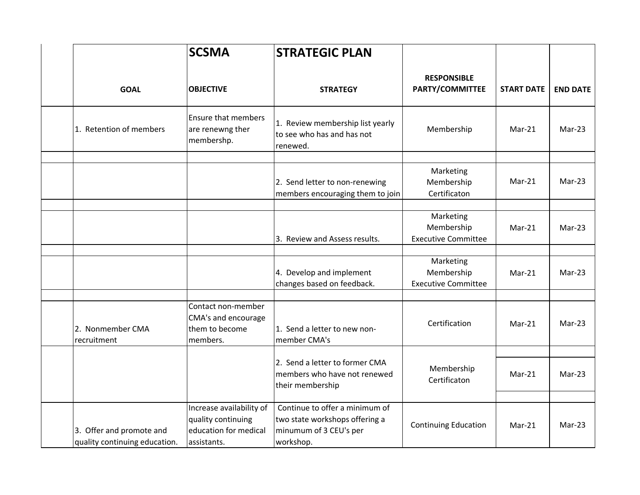|                                                           | <b>SCSMA</b>                                                                           | <b>STRATEGIC PLAN</b>                                                                                   |                                                       |                   |                 |
|-----------------------------------------------------------|----------------------------------------------------------------------------------------|---------------------------------------------------------------------------------------------------------|-------------------------------------------------------|-------------------|-----------------|
| <b>GOAL</b>                                               | <b>OBJECTIVE</b>                                                                       | <b>STRATEGY</b>                                                                                         | <b>RESPONSIBLE</b><br>PARTY/COMMITTEE                 | <b>START DATE</b> | <b>END DATE</b> |
| 1. Retention of members                                   | <b>Ensure that members</b><br>are renewng ther<br>membershp.                           | 1. Review membership list yearly<br>to see who has and has not<br>renewed.                              | Membership                                            | Mar-21            | $Mar-23$        |
|                                                           |                                                                                        | 2. Send letter to non-renewing<br>members encouraging them to join                                      | Marketing<br>Membership<br>Certificaton               | $Mar-21$          | $Mar-23$        |
|                                                           |                                                                                        | 3. Review and Assess results.                                                                           | Marketing<br>Membership<br><b>Executive Committee</b> | Mar-21            | $Mar-23$        |
|                                                           |                                                                                        | 4. Develop and implement<br>changes based on feedback.                                                  | Marketing<br>Membership<br><b>Executive Committee</b> | $Mar-21$          | $Mar-23$        |
| 2. Nonmember CMA<br>recruitment                           | Contact non-member<br>CMA's and encourage<br>them to become<br>members.                | 1. Send a letter to new non-<br>member CMA's                                                            | Certification                                         | $Mar-21$          | $Mar-23$        |
|                                                           |                                                                                        | 2. Send a letter to former CMA<br>members who have not renewed<br>their membership                      | Membership<br>Certificaton                            | $Mar-21$          | $Mar-23$        |
| 3. Offer and promote and<br>quality continuing education. | Increase availability of<br>quality continuing<br>education for medical<br>assistants. | Continue to offer a minimum of<br>two state workshops offering a<br>minumum of 3 CEU's per<br>workshop. | <b>Continuing Education</b>                           | Mar-21            | Mar-23          |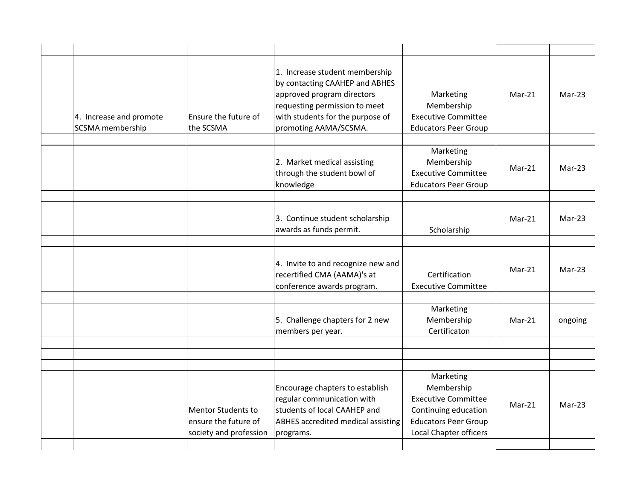| 4. Increase and promote<br><b>SCSMA</b> membership | Ensure the future of<br>the SCSMA                                    | 1. Increase student membership<br>by contacting CAAHEP and ABHES<br>approved program directors<br>requesting permission to meet<br>with students for the purpose of<br>promoting AAMA/SCSMA. | Marketing<br>Membership<br><b>Executive Committee</b><br><b>Educators Peer Group</b>                                                          | $Mar-21$ | $Mar-23$ |
|----------------------------------------------------|----------------------------------------------------------------------|----------------------------------------------------------------------------------------------------------------------------------------------------------------------------------------------|-----------------------------------------------------------------------------------------------------------------------------------------------|----------|----------|
|                                                    |                                                                      | 2. Market medical assisting<br>through the student bowl of<br>knowledge                                                                                                                      | Marketing<br>Membership<br><b>Executive Committee</b><br><b>Educators Peer Group</b>                                                          | $Mar-21$ | $Mar-23$ |
|                                                    |                                                                      | 3. Continue student scholarship<br>awards as funds permit.                                                                                                                                   | Scholarship                                                                                                                                   | $Mar-21$ | $Mar-23$ |
|                                                    |                                                                      | 4. Invite to and recognize new and<br>recertified CMA (AAMA)'s at<br>conference awards program.                                                                                              | Certification<br><b>Executive Committee</b>                                                                                                   | $Mar-21$ | $Mar-23$ |
|                                                    |                                                                      | 5. Challenge chapters for 2 new<br>members per year.                                                                                                                                         | Marketing<br>Membership<br>Certificaton                                                                                                       | $Mar-21$ | ongoing  |
|                                                    |                                                                      |                                                                                                                                                                                              |                                                                                                                                               |          |          |
|                                                    | Mentor Students to<br>ensure the future of<br>society and profession | Encourage chapters to establish<br>regular communication with<br>students of local CAAHEP and<br><b>ABHES accredited medical assisting</b><br>programs.                                      | Marketing<br>Membership<br><b>Executive Committee</b><br>Continuing education<br><b>Educators Peer Group</b><br><b>Local Chapter officers</b> | $Mar-21$ | $Mar-23$ |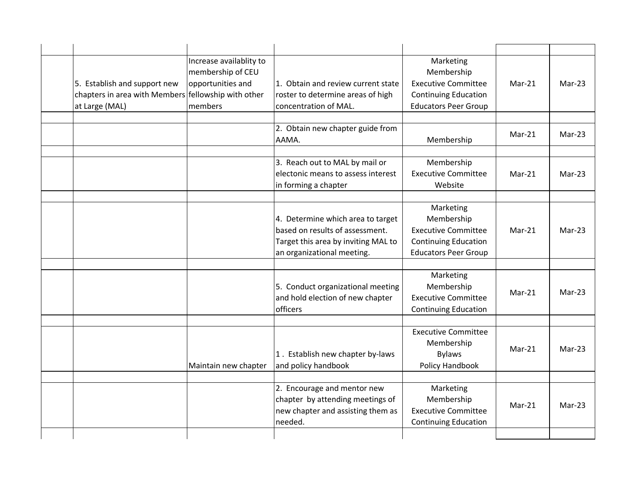| 5. Establish and support new<br>chapters in area with Members fellowship with other<br>at Large (MAL) | Increase availablity to<br>membership of CEU<br>opportunities and<br>members | 1. Obtain and review current state<br>roster to determine areas of high<br>concentration of MAL.                                          | Marketing<br>Membership<br><b>Executive Committee</b><br><b>Continuing Education</b><br><b>Educators Peer Group</b> | $Mar-21$ | $Mar-23$ |
|-------------------------------------------------------------------------------------------------------|------------------------------------------------------------------------------|-------------------------------------------------------------------------------------------------------------------------------------------|---------------------------------------------------------------------------------------------------------------------|----------|----------|
|                                                                                                       |                                                                              | 2. Obtain new chapter guide from<br>AAMA.                                                                                                 | Membership                                                                                                          | Mar-21   | $Mar-23$ |
|                                                                                                       |                                                                              | 3. Reach out to MAL by mail or<br>electonic means to assess interest<br>in forming a chapter                                              | Membership<br><b>Executive Committee</b><br>Website                                                                 | $Mar-21$ | $Mar-23$ |
|                                                                                                       |                                                                              | 4. Determine which area to target<br>based on results of assessment.<br>Target this area by inviting MAL to<br>an organizational meeting. | Marketing<br>Membership<br><b>Executive Committee</b><br><b>Continuing Education</b><br><b>Educators Peer Group</b> | $Mar-21$ | $Mar-23$ |
|                                                                                                       |                                                                              | 5. Conduct organizational meeting<br>and hold election of new chapter<br>officers                                                         | Marketing<br>Membership<br><b>Executive Committee</b><br><b>Continuing Education</b>                                | $Mar-21$ | Mar-23   |
|                                                                                                       | Maintain new chapter                                                         | 1. Establish new chapter by-laws<br>and policy handbook                                                                                   | <b>Executive Committee</b><br>Membership<br><b>Bylaws</b><br>Policy Handbook                                        | $Mar-21$ | $Mar-23$ |
|                                                                                                       |                                                                              | 2. Encourage and mentor new<br>chapter by attending meetings of<br>new chapter and assisting them as<br>needed.                           | Marketing<br>Membership<br><b>Executive Committee</b><br><b>Continuing Education</b>                                | $Mar-21$ | $Mar-23$ |
|                                                                                                       |                                                                              |                                                                                                                                           |                                                                                                                     |          |          |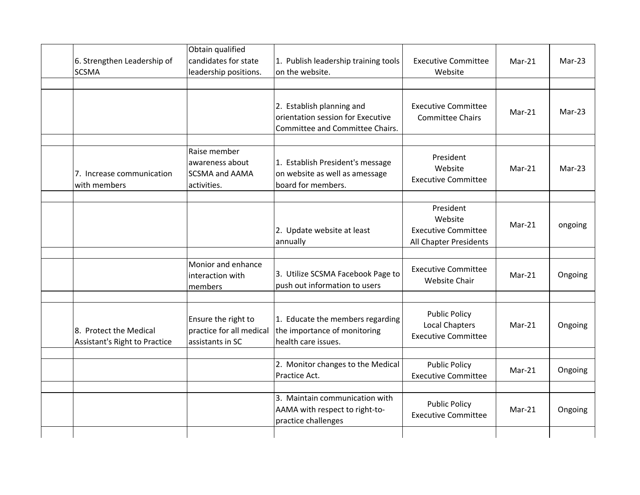| 6. Strengthen Leadership of<br><b>SCSMA</b>             | Obtain qualified<br>candidates for state<br>leadership positions.       | 1. Publish leadership training tools<br>on the website.                                           | <b>Executive Committee</b><br>Website                                        | Mar-21   | $Mar-23$ |
|---------------------------------------------------------|-------------------------------------------------------------------------|---------------------------------------------------------------------------------------------------|------------------------------------------------------------------------------|----------|----------|
|                                                         |                                                                         | 2. Establish planning and<br>orientation session for Executive<br>Committee and Committee Chairs. | <b>Executive Committee</b><br>Committee Chairs                               | $Mar-21$ | $Mar-23$ |
| 7. Increase communication<br>with members               | Raise member<br>awareness about<br><b>SCSMA and AAMA</b><br>activities. | 1. Establish President's message<br>on website as well as amessage<br>board for members.          | President<br>Website<br><b>Executive Committee</b>                           | Mar-21   | Mar-23   |
|                                                         |                                                                         | 2. Update website at least<br>annually                                                            | President<br>Website<br><b>Executive Committee</b><br>All Chapter Presidents | $Mar-21$ | ongoing  |
|                                                         | Monior and enhance<br>interaction with<br>members                       | 3. Utilize SCSMA Facebook Page to<br>push out information to users                                | <b>Executive Committee</b><br>Website Chair                                  | $Mar-21$ | Ongoing  |
| 8. Protect the Medical<br>Assistant's Right to Practice | Ensure the right to<br>practice for all medical<br>assistants in SC     | 1. Educate the members regarding<br>the importance of monitoring<br>health care issues.           | <b>Public Policy</b><br><b>Local Chapters</b><br><b>Executive Committee</b>  | Mar-21   | Ongoing  |
|                                                         |                                                                         | 2. Monitor changes to the Medical<br>Practice Act.                                                | <b>Public Policy</b><br><b>Executive Committee</b>                           | $Mar-21$ | Ongoing  |
|                                                         |                                                                         | 3. Maintain communication with<br>AAMA with respect to right-to-<br>practice challenges           | <b>Public Policy</b><br><b>Executive Committee</b>                           | Mar-21   | Ongoing  |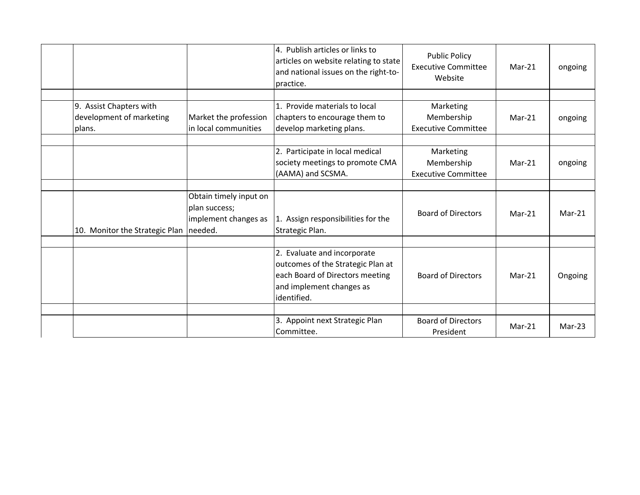|                                |                                                                            | 4. Publish articles or links to<br>articles on website relating to state<br>and national issues on the right-to-<br>practice.                  | <b>Public Policy</b><br><b>Executive Committee</b><br>Website | $Mar-21$ | ongoing  |
|--------------------------------|----------------------------------------------------------------------------|------------------------------------------------------------------------------------------------------------------------------------------------|---------------------------------------------------------------|----------|----------|
|                                |                                                                            |                                                                                                                                                |                                                               |          |          |
| 9. Assist Chapters with        |                                                                            | 1. Provide materials to local                                                                                                                  | Marketing                                                     |          |          |
| development of marketing       | Market the profession                                                      | chapters to encourage them to                                                                                                                  | Membership                                                    | $Mar-21$ | ongoing  |
| plans.                         | in local communities                                                       | develop marketing plans.                                                                                                                       | <b>Executive Committee</b>                                    |          |          |
|                                |                                                                            |                                                                                                                                                |                                                               |          |          |
|                                |                                                                            | 2. Participate in local medical                                                                                                                | Marketing                                                     |          |          |
|                                |                                                                            | society meetings to promote CMA                                                                                                                | Membership                                                    | $Mar-21$ | ongoing  |
|                                |                                                                            | (AAMA) and SCSMA.                                                                                                                              | <b>Executive Committee</b>                                    |          |          |
|                                |                                                                            |                                                                                                                                                |                                                               |          |          |
| 10. Monitor the Strategic Plan | Obtain timely input on<br>plan success;<br>implement changes as<br>needed. | 1. Assign responsibilities for the<br>Strategic Plan.                                                                                          | <b>Board of Directors</b>                                     | $Mar-21$ | $Mar-21$ |
|                                |                                                                            |                                                                                                                                                |                                                               |          |          |
|                                |                                                                            | 2. Evaluate and incorporate<br>outcomes of the Strategic Plan at<br>each Board of Directors meeting<br>and implement changes as<br>identified. | <b>Board of Directors</b>                                     | $Mar-21$ | Ongoing  |
|                                |                                                                            |                                                                                                                                                |                                                               |          |          |
|                                |                                                                            | 3. Appoint next Strategic Plan<br>Committee.                                                                                                   | <b>Board of Directors</b><br>President                        | $Mar-21$ | Mar-23   |